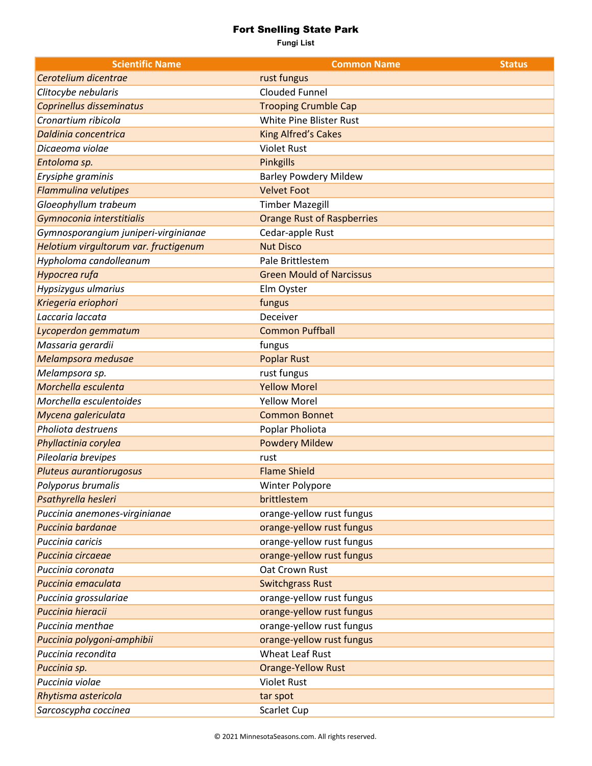## Fort Snelling State Park

**Fungi List**

| <b>Scientific Name</b>                | <b>Common Name</b>                | <b>Status</b> |
|---------------------------------------|-----------------------------------|---------------|
| Cerotelium dicentrae                  | rust fungus                       |               |
| Clitocybe nebularis                   | <b>Clouded Funnel</b>             |               |
| Coprinellus disseminatus              | <b>Trooping Crumble Cap</b>       |               |
| Cronartium ribicola                   | White Pine Blister Rust           |               |
| Daldinia concentrica                  | <b>King Alfred's Cakes</b>        |               |
| Dicaeoma violae                       | <b>Violet Rust</b>                |               |
| Entoloma sp.                          | <b>Pinkgills</b>                  |               |
| Erysiphe graminis                     | <b>Barley Powdery Mildew</b>      |               |
| <b>Flammulina velutipes</b>           | <b>Velvet Foot</b>                |               |
| Gloeophyllum trabeum                  | <b>Timber Mazegill</b>            |               |
| Gymnoconia interstitialis             | <b>Orange Rust of Raspberries</b> |               |
| Gymnosporangium juniperi-virginianae  | Cedar-apple Rust                  |               |
| Helotium virgultorum var. fructigenum | <b>Nut Disco</b>                  |               |
| Hypholoma candolleanum                | Pale Brittlestem                  |               |
| Hypocrea rufa                         | <b>Green Mould of Narcissus</b>   |               |
| Hypsizygus ulmarius                   | Elm Oyster                        |               |
| Kriegeria eriophori                   | fungus                            |               |
| Laccaria laccata                      | Deceiver                          |               |
| Lycoperdon gemmatum                   | <b>Common Puffball</b>            |               |
| Massaria gerardii                     | fungus                            |               |
| Melampsora medusae                    | <b>Poplar Rust</b>                |               |
| Melampsora sp.                        | rust fungus                       |               |
| Morchella esculenta                   | <b>Yellow Morel</b>               |               |
| Morchella esculentoides               | <b>Yellow Morel</b>               |               |
| Mycena galericulata                   | <b>Common Bonnet</b>              |               |
| Pholiota destruens                    | Poplar Pholiota                   |               |
| Phyllactinia corylea                  | <b>Powdery Mildew</b>             |               |
| Pileolaria brevipes                   | rust                              |               |
| Pluteus aurantiorugosus               | <b>Flame Shield</b>               |               |
| Polyporus brumalis                    | Winter Polypore                   |               |
| Psathyrella hesleri                   | brittlestem                       |               |
| Puccinia anemones-virginianae         | orange-yellow rust fungus         |               |
| Puccinia bardanae                     | orange-yellow rust fungus         |               |
| Puccinia caricis                      | orange-yellow rust fungus         |               |
| Puccinia circaeae                     | orange-yellow rust fungus         |               |
| Puccinia coronata                     | Oat Crown Rust                    |               |
| Puccinia emaculata                    | <b>Switchgrass Rust</b>           |               |
| Puccinia grossulariae                 | orange-yellow rust fungus         |               |
| Puccinia hieracii                     | orange-yellow rust fungus         |               |
| Puccinia menthae                      | orange-yellow rust fungus         |               |
| Puccinia polygoni-amphibii            | orange-yellow rust fungus         |               |
| Puccinia recondita                    | <b>Wheat Leaf Rust</b>            |               |
| Puccinia sp.                          | <b>Orange-Yellow Rust</b>         |               |
| Puccinia violae                       | <b>Violet Rust</b>                |               |
| Rhytisma astericola                   | tar spot                          |               |
| Sarcoscypha coccinea                  | Scarlet Cup                       |               |